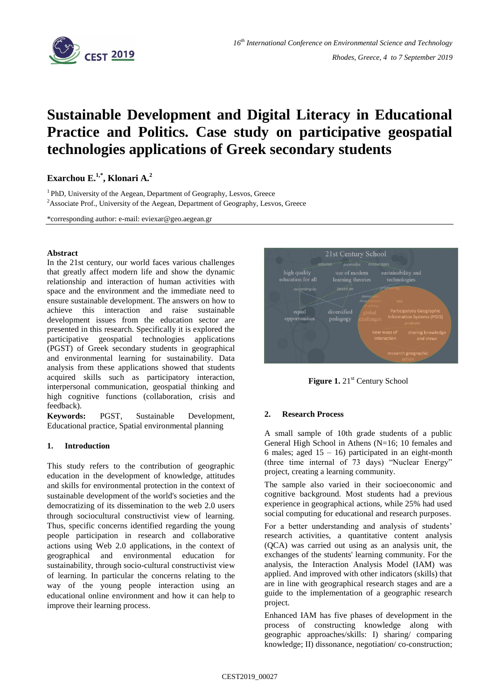

# **Sustainable Development and Digital Literacy in Educational Practice and Politics. Case study on participative geospatial technologies applications of Greek secondary students**

**Exarchou E.1,\* , Klonari A.<sup>2</sup>**

<sup>1</sup> PhD, University of the Aegean, Department of Geography, Lesvos, Greece <sup>2</sup>Associate Prof., University of the Aegean, Department of Geography, Lesvos, Greece

\*corresponding author: e-mail: eviexar@geo.aegean.gr

### **Abstract**

In the 21st century, our world faces various challenges that greatly affect modern life and show the dynamic relationship and interaction of human activities with space and the environment and the immediate need to ensure sustainable development. The answers on how to achieve this interaction and raise sustainable development issues from the education sector are presented in this research. Specifically it is explored the participative geospatial technologies applications (PGST) of Greek secondary students in geographical and environmental learning for sustainability. Data analysis from these applications showed that students acquired skills such as participatory interaction, interpersonal communication, geospatial thinking and high cognitive functions (collaboration, crisis and feedback).

**Keywords:** PGST, Sustainable Development, Educational practice, Spatial environmental planning

## **1. Introduction**

Τhis study refers to the contribution of geographic education in the development of knowledge, attitudes and skills for environmental protection in the context of sustainable development of the world's societies and the democratizing of its dissemination to the web 2.0 users through sociocultural constructivist view of learning. Thus, specific concerns identified regarding the young people participation in research and collaborative actions using Web 2.0 applications, in the context of geographical and environmental education for sustainability, through socio-cultural constructivist view of learning. In particular the concerns relating to the way of the young people interaction using an educational online environment and how it can help to improve their learning process.



Figure 1. 21<sup>st</sup> Century School

## **2. Research Process**

A small sample of 10th grade students of a public General High School in Athens (N=16; 10 females and 6 males; aged  $15 - 16$ ) participated in an eight-month (three time internal of 73 days) "Nuclear Energy" project, creating a learning community.

The sample also varied in their socioeconomic and cognitive background. Most students had a previous experience in geographical actions, while 25% had used social computing for educational and research purposes.

For a better understanding and analysis of students' research activities, a quantitative content analysis (QCA) was carried out using as an analysis unit, the exchanges of the students' learning community. For the analysis, the Interaction Analysis Model (IAM) was applied. And improved with other indicators (skills) that are in line with geographical research stages and are a guide to the implementation of a geographic research project.

Enhanced IAM has five phases of development in the process of constructing knowledge along with geographic approaches/skills: I) sharing/ comparing knowledge; II) dissonance, negotiation/ co-construction;